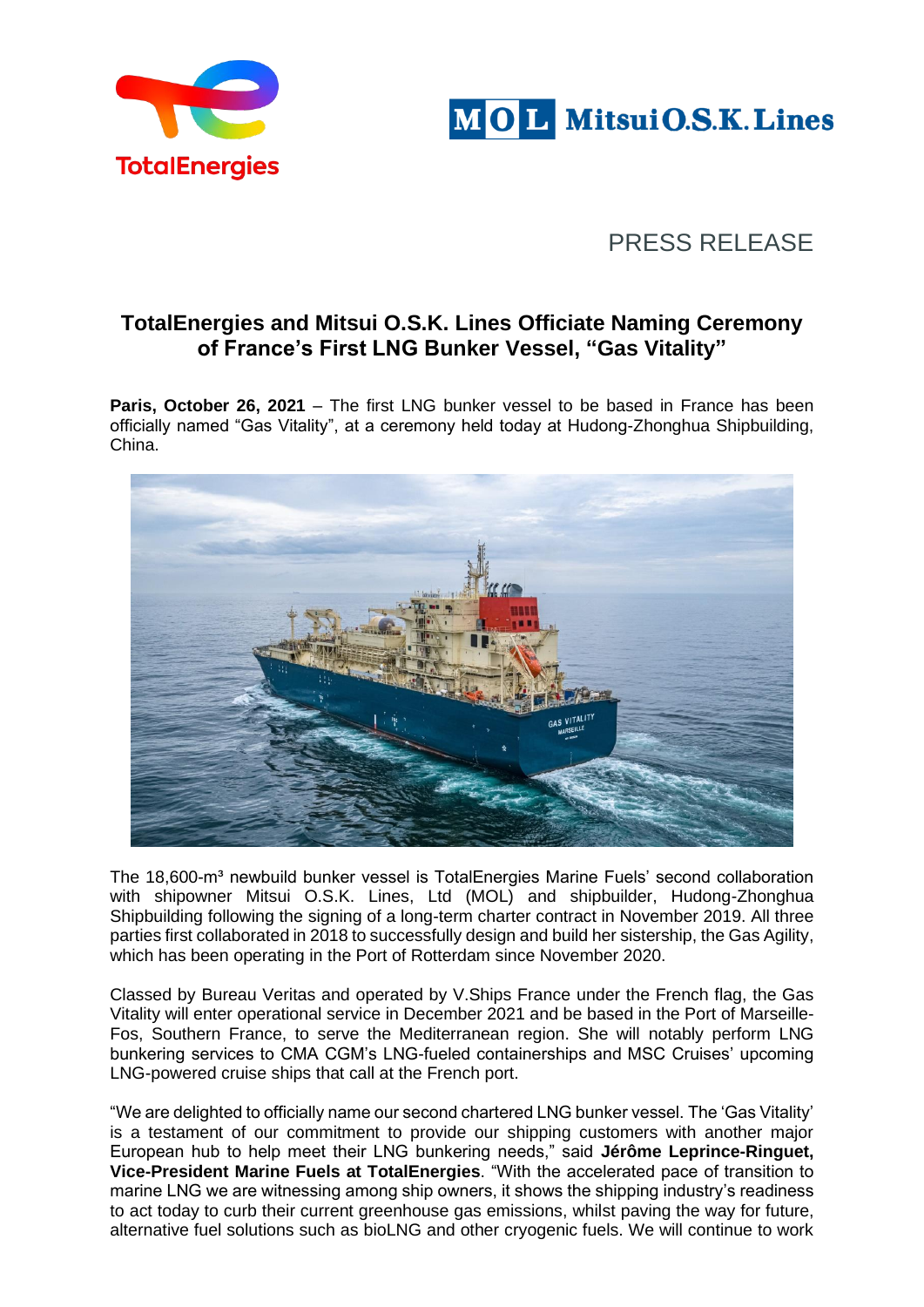



# PRESS RELEASE

# **TotalEnergies and Mitsui O.S.K. Lines Officiate Naming Ceremony of France's First LNG Bunker Vessel, "Gas Vitality"**

**Paris, October 26, 2021** – The first LNG bunker vessel to be based in France has been officially named "Gas Vitality", at a ceremony held today at Hudong-Zhonghua Shipbuilding, China.



The 18,600-m<sup>3</sup> newbuild bunker vessel is TotalEnergies Marine Fuels' second collaboration with shipowner Mitsui O.S.K. Lines, Ltd (MOL) and shipbuilder, Hudong-Zhonghua Shipbuilding following the signing of a long-term charter contract in November 2019. All three parties first collaborated in 2018 to successfully design and build her sistership, the Gas Agility, which has been operating in the Port of Rotterdam since November 2020.

Classed by Bureau Veritas and operated by V.Ships France under the French flag, the Gas Vitality will enter operational service in December 2021 and be based in the Port of Marseille-Fos, Southern France, to serve the Mediterranean region. She will notably perform LNG bunkering services to CMA CGM's LNG-fueled containerships and MSC Cruises' upcoming LNG-powered cruise ships that call at the French port.

"We are delighted to officially name our second chartered LNG bunker vessel. The 'Gas Vitality' is a testament of our commitment to provide our shipping customers with another major European hub to help meet their LNG bunkering needs," said **Jérôme Leprince-Ringuet, Vice-President Marine Fuels at TotalEnergies**. "With the accelerated pace of transition to marine LNG we are witnessing among ship owners, it shows the shipping industry's readiness to act today to curb their current greenhouse gas emissions, whilst paving the way for future, alternative fuel solutions such as bioLNG and other cryogenic fuels. We will continue to work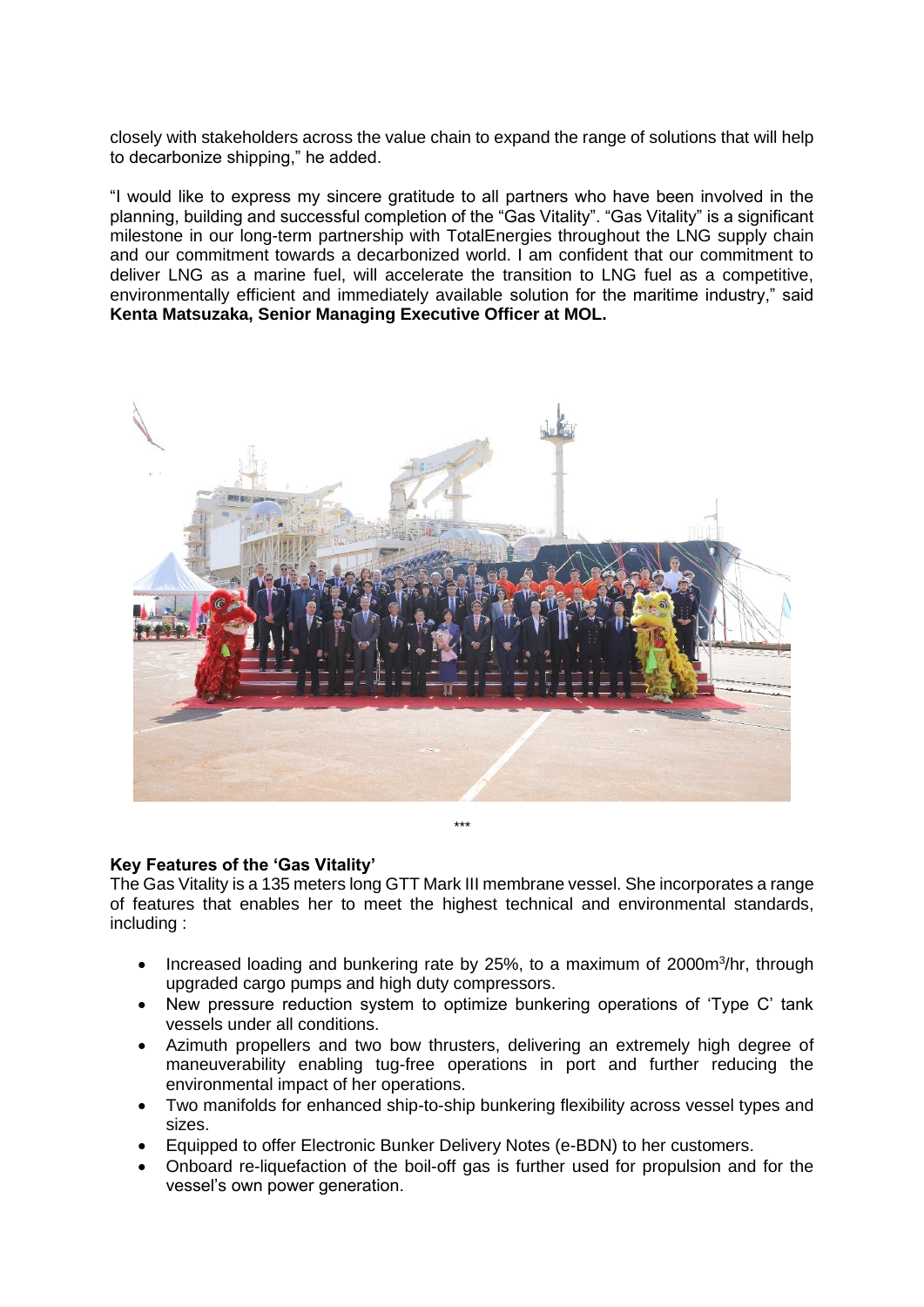closely with stakeholders across the value chain to expand the range of solutions that will help to decarbonize shipping," he added.

"I would like to express my sincere gratitude to all partners who have been involved in the planning, building and successful completion of the "Gas Vitality". "Gas Vitality" is a significant milestone in our long-term partnership with TotalEnergies throughout the LNG supply chain and our commitment towards a decarbonized world. I am confident that our commitment to deliver LNG as a marine fuel, will accelerate the transition to LNG fuel as a competitive, environmentally efficient and immediately available solution for the maritime industry," said **Kenta Matsuzaka, Senior Managing Executive Officer at MOL.**



# **Key Features of the 'Gas Vitality'**

The Gas Vitality is a 135 meters long GTT Mark III membrane vessel. She incorporates a range of features that enables her to meet the highest technical and environmental standards, including :

- Increased loading and bunkering rate by 25%, to a maximum of 2000m<sup>3</sup>/hr, through upgraded cargo pumps and high duty compressors.
- New pressure reduction system to optimize bunkering operations of 'Type C' tank vessels under all conditions.
- Azimuth propellers and two bow thrusters, delivering an extremely high degree of maneuverability enabling tug-free operations in port and further reducing the environmental impact of her operations.
- Two manifolds for enhanced ship-to-ship bunkering flexibility across vessel types and sizes.
- Equipped to offer Electronic Bunker Delivery Notes (e-BDN) to her customers.
- Onboard re-liquefaction of the boil-off gas is further used for propulsion and for the vessel's own power generation.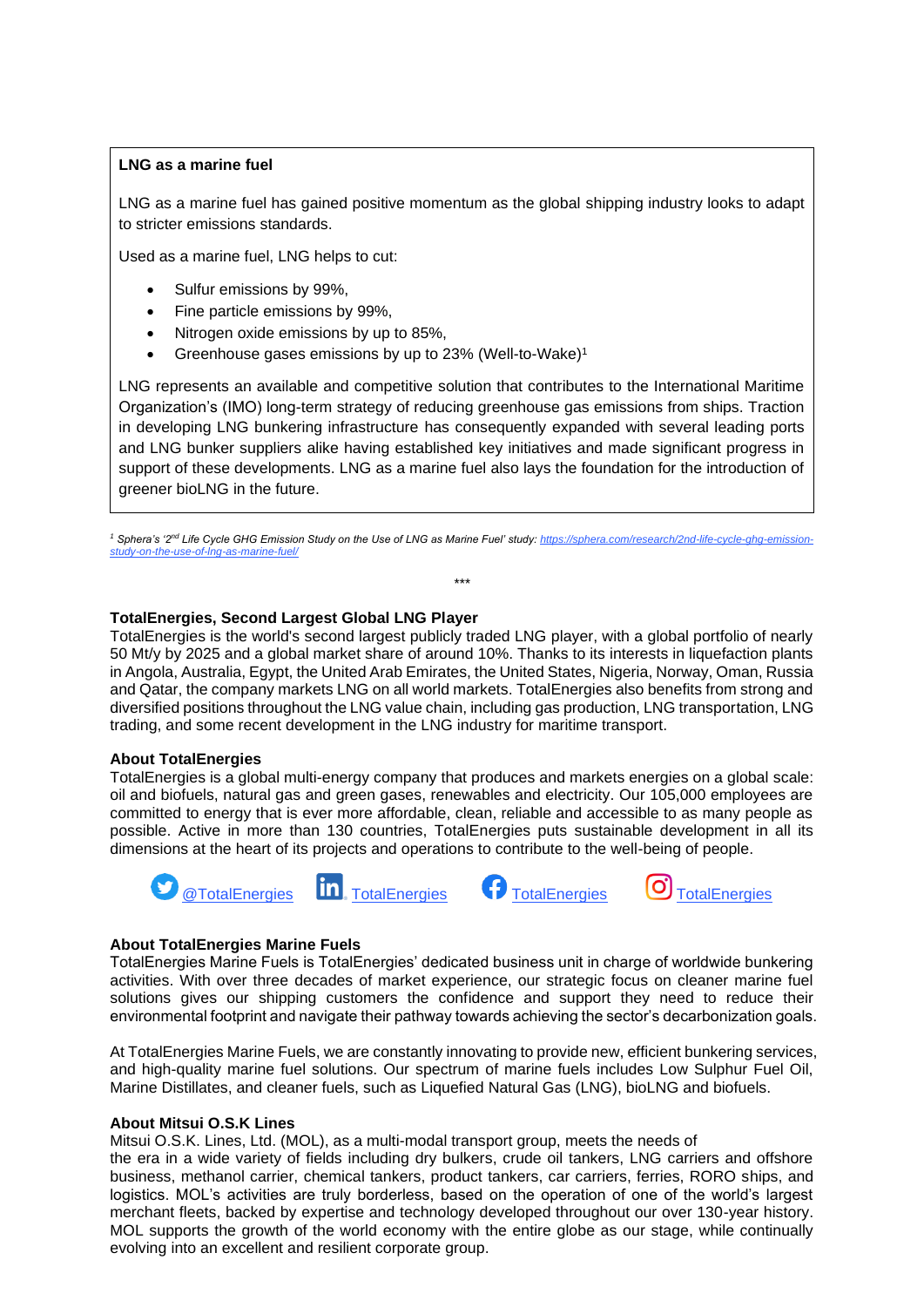### **LNG as a marine fuel**

LNG as a marine fuel has gained positive momentum as the global shipping industry looks to adapt to stricter emissions standards.

Used as a marine fuel, LNG helps to cut:

- Sulfur emissions by 99%,
- Fine particle emissions by 99%,
- Nitrogen oxide emissions by up to 85%,
- Greenhouse gases emissions by up to 23% (Well-to-Wake)<sup>1</sup>

LNG represents an available and competitive solution that contributes to the International Maritime Organization's (IMO) long-term strategy of reducing greenhouse gas emissions from ships. Traction in developing LNG bunkering infrastructure has consequently expanded with several leading ports and LNG bunker suppliers alike having established key initiatives and made significant progress in support of these developments. LNG as a marine fuel also lays the foundation for the introduction of greener bioLNG in the future.

<sup>1</sup> Sphera's '2<sup>nd</sup> Life Cycle GHG Emission Study on the Use of LNG as Marine Fuel' study[: https://sphera.com/research/2nd-life-cycle-ghg-emission](https://sphera.com/research/2nd-life-cycle-ghg-emission-study-on-the-use-of-lng-as-marine-fuel/)*[study-on-the-use-of-lng-as-marine-fuel/](https://sphera.com/research/2nd-life-cycle-ghg-emission-study-on-the-use-of-lng-as-marine-fuel/)*

*\*\*\**

# **TotalEnergies, Second Largest Global LNG Player**

TotalEnergies is the world's second largest publicly traded LNG player, with a global portfolio of nearly 50 Mt/y by 2025 and a global market share of around 10%. Thanks to its interests in liquefaction plants in Angola, Australia, Egypt, the United Arab Emirates, the United States, Nigeria, Norway, Oman, Russia and Qatar, the company markets LNG on all world markets. TotalEnergies also benefits from strong and diversified positions throughout the LNG value chain, including gas production, LNG transportation, LNG trading, and some recent development in the LNG industry for maritime transport.

#### **About TotalEnergies**

TotalEnergies is a global multi-energy company that produces and markets energies on a global scale: oil and biofuels, natural gas and green gases, renewables and electricity. Our 105,000 employees are committed to energy that is ever more affordable, clean, reliable and accessible to as many people as possible. Active in more than 130 countries, TotalEnergies puts sustainable development in all its dimensions at the heart of its projects and operations to contribute to the well-being of people.





#### **About TotalEnergies Marine Fuels**

TotalEnergies Marine Fuels is TotalEnergies' dedicated business unit in charge of worldwide bunkering activities. With over three decades of market experience, our strategic focus on cleaner marine fuel solutions gives our shipping customers the confidence and support they need to reduce their environmental footprint and navigate their pathway towards achieving the sector's decarbonization goals.

At TotalEnergies Marine Fuels, we are constantly innovating to provide new, efficient bunkering services, and high-quality marine fuel solutions. Our spectrum of marine fuels includes Low Sulphur Fuel Oil, Marine Distillates, and cleaner fuels, such as Liquefied Natural Gas (LNG), bioLNG and biofuels.

#### **About Mitsui O.S.K Lines**

Mitsui O.S.K. Lines, Ltd. (MOL), as a multi-modal transport group, meets the needs of the era in a wide variety of fields including dry bulkers, crude oil tankers, LNG carriers and offshore business, methanol carrier, chemical tankers, product tankers, car carriers, ferries, RORO ships, and logistics. MOL's activities are truly borderless, based on the operation of one of the world's largest merchant fleets, backed by expertise and technology developed throughout our over 130-year history. MOL supports the growth of the world economy with the entire globe as our stage, while continually evolving into an excellent and resilient corporate group.